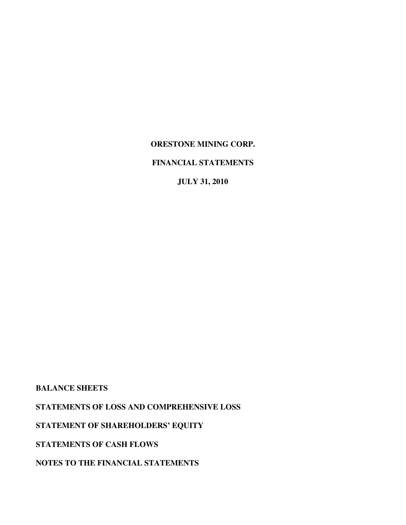# **FINANCIAL STATEMENTS**

**JULY 31, 2010** 

**BALANCE SHEETS** 

**STATEMENTS OF LOSS AND COMPREHENSIVE LOSS** 

**STATEMENT OF SHAREHOLDERS' EQUITY** 

**STATEMENTS OF CASH FLOWS** 

**NOTES TO THE FINANCIAL STATEMENTS**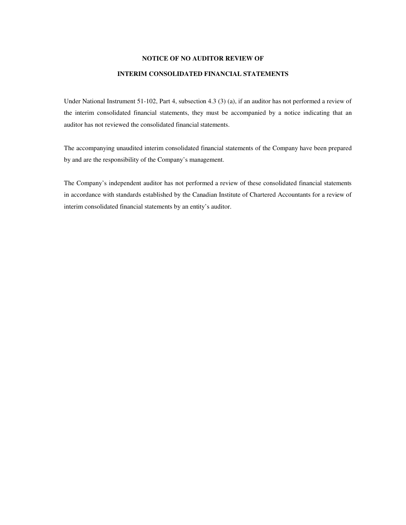## **NOTICE OF NO AUDITOR REVIEW OF**

## **INTERIM CONSOLIDATED FINANCIAL STATEMENTS**

Under National Instrument 51-102, Part 4, subsection 4.3 (3) (a), if an auditor has not performed a review of the interim consolidated financial statements, they must be accompanied by a notice indicating that an auditor has not reviewed the consolidated financial statements.

The accompanying unaudited interim consolidated financial statements of the Company have been prepared by and are the responsibility of the Company's management.

The Company's independent auditor has not performed a review of these consolidated financial statements in accordance with standards established by the Canadian Institute of Chartered Accountants for a review of interim consolidated financial statements by an entity's auditor.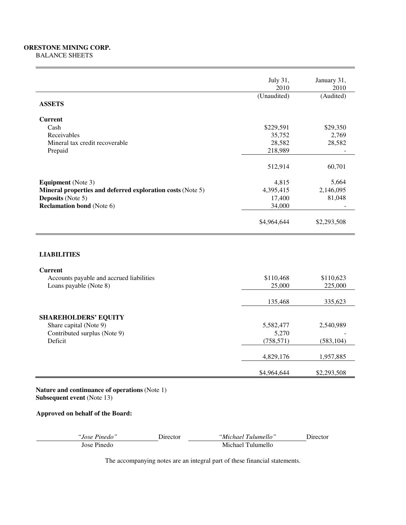## **ORESTONE MINING CORP.**  BALANCE SHEETS

|                                                            | July 31,<br>2010 | January 31,<br>2010 |
|------------------------------------------------------------|------------------|---------------------|
| <b>ASSETS</b>                                              | (Unaudited)      | (Audited)           |
| <b>Current</b>                                             |                  |                     |
| Cash                                                       | \$229,591        | \$29,350            |
| Receivables                                                | 35,752           | 2,769               |
| Mineral tax credit recoverable                             | 28,582           | 28,582              |
| Prepaid                                                    | 218,989          |                     |
|                                                            | 512,914          | 60,701              |
| <b>Equipment</b> (Note 3)                                  | 4,815            | 5,664               |
| Mineral properties and deferred exploration costs (Note 5) | 4,395,415        | 2,146,095           |
| <b>Deposits</b> (Note 5)                                   | 17,400           | 81,048              |
| <b>Reclamation bond</b> (Note 6)                           | 34,000           |                     |
|                                                            | \$4,964,644      | \$2,293,508         |
| <b>LIABILITIES</b>                                         |                  |                     |
| <b>Current</b>                                             |                  |                     |
| Accounts payable and accrued liabilities                   | \$110,468        | \$110,623           |
| Loans payable (Note 8)                                     | 25,000           | 225,000             |
|                                                            | 135,468          | 335,623             |
|                                                            |                  |                     |
| <b>SHAREHOLDERS' EQUITY</b><br>Share capital (Note 9)      | 5,582,477        | 2,540,989           |
| Contributed surplus (Note 9)                               | 5,270            |                     |
| Deficit                                                    | (758, 571)       | (583, 104)          |
|                                                            | 4,829,176        | 1,957,885           |
|                                                            | \$4,964,644      | \$2,293,508         |

**Nature and continuance of operations** (Note 1) **Subsequent event** (Note 13)

## **Approved on behalf of the Board:**

| 'Jose Pinedo'' |  |
|----------------|--|
| Jose Dinado    |  |

*"Jose Pinedo"* Director *"Michael Tulumello"* Director Jose Pinedo Michael Tulumello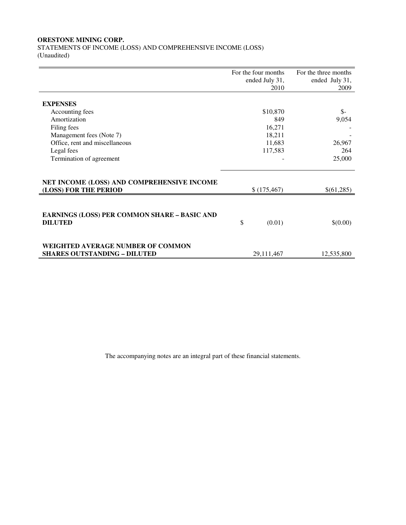STATEMENTS OF INCOME (LOSS) AND COMPREHENSIVE INCOME (LOSS) (Unaudited)

|                                                                                 | For the four months | For the three months |
|---------------------------------------------------------------------------------|---------------------|----------------------|
|                                                                                 | ended July 31,      | ended July 31,       |
|                                                                                 | 2010                | 2009                 |
| <b>EXPENSES</b>                                                                 |                     |                      |
| Accounting fees                                                                 | \$10,870            | $\frac{1}{2}$        |
| Amortization                                                                    | 849                 | 9,054                |
| Filing fees                                                                     | 16,271              |                      |
| Management fees (Note 7)                                                        | 18,211              |                      |
| Office, rent and miscellaneous                                                  | 11,683              | 26,967               |
| Legal fees                                                                      | 117,583             | 264                  |
| Termination of agreement                                                        |                     | 25,000               |
|                                                                                 |                     |                      |
| NET INCOME (LOSS) AND COMPREHENSIVE INCOME<br>(LOSS) FOR THE PERIOD             | \$(175, 467)        | \$(61,285)           |
|                                                                                 |                     |                      |
| <b>EARNINGS (LOSS) PER COMMON SHARE - BASIC AND</b><br><b>DILUTED</b>           | \$<br>(0.01)        | \$(0.00)             |
| <b>WEIGHTED AVERAGE NUMBER OF COMMON</b><br><b>SHARES OUTSTANDING - DILUTED</b> |                     |                      |
|                                                                                 | 29,111,467          | 12,535,800           |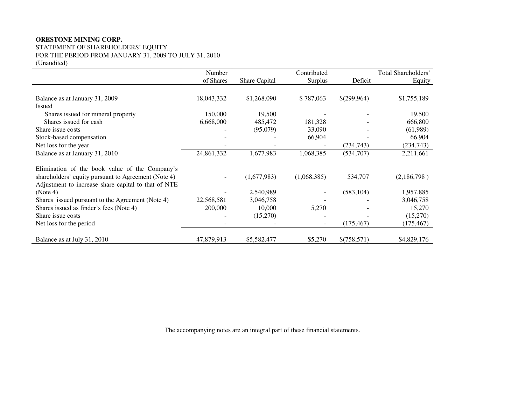STATEMENT OF SHAREHOLDERS' EQUITY FOR THE PERIOD FROM JANUARY 31, 2009 TO JULY 31, 2010 (Unaudited)

|                                                     | Number     |               | Contributed |             | Total Shareholders' |
|-----------------------------------------------------|------------|---------------|-------------|-------------|---------------------|
|                                                     | of Shares  | Share Capital | Surplus     | Deficit     | Equity              |
|                                                     |            |               |             |             |                     |
| Balance as at January 31, 2009                      | 18,043,332 | \$1,268,090   | \$787,063   | \$(299,964) | \$1,755,189         |
| <b>Issued</b>                                       |            |               |             |             |                     |
| Shares issued for mineral property                  | 150,000    | 19,500        |             |             | 19,500              |
| Shares issued for cash                              | 6,668,000  | 485,472       | 181,328     |             | 666,800             |
| Share issue costs                                   |            | (95,079)      | 33,090      |             | (61,989)            |
| Stock-based compensation                            |            |               | 66,904      |             | 66,904              |
| Net loss for the year                               |            |               |             | (234,743)   | (234,743)           |
| Balance as at January 31, 2010                      | 24,861,332 | 1,677,983     | 1,068,385   | (534,707)   | 2,211,661           |
| Elimination of the book value of the Company's      |            |               |             |             |                     |
| shareholders' equity pursuant to Agreement (Note 4) |            | (1,677,983)   | (1,068,385) | 534,707     | (2,186,798)         |
| Adjustment to increase share capital to that of NTE |            |               |             |             |                     |
| (Note 4)                                            |            | 2,540,989     |             | (583, 104)  | 1,957,885           |
| Shares issued pursuant to the Agreement (Note 4)    | 22,568,581 | 3,046,758     |             |             | 3,046,758           |
| Shares issued as finder's fees (Note 4)             | 200,000    | 10,000        | 5,270       |             | 15,270              |
| Share issue costs                                   |            | (15,270)      |             |             | (15,270)            |
| Net loss for the period                             |            |               |             | (175, 467)  | (175, 467)          |
|                                                     |            |               |             |             |                     |
| Balance as at July 31, 2010                         | 47,879,913 | \$5,582,477   | \$5,270     | \$(758,571) | \$4,829,176         |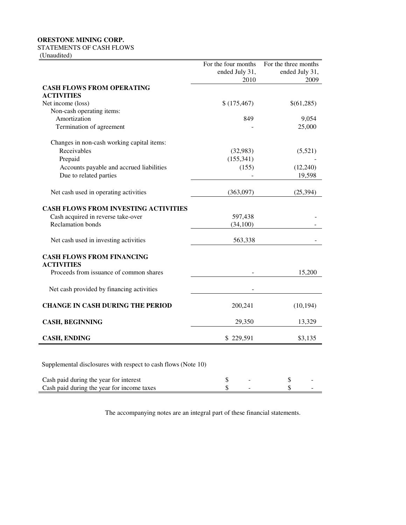STATEMENTS OF CASH FLOWS

(Unaudited)

|                                                               | For the four months<br>ended July 31,<br>2010 | For the three months<br>ended July 31,<br>2009 |
|---------------------------------------------------------------|-----------------------------------------------|------------------------------------------------|
| <b>CASH FLOWS FROM OPERATING</b>                              |                                               |                                                |
| <b>ACTIVITIES</b>                                             |                                               |                                                |
| Net income (loss)                                             | \$(175, 467)                                  | \$(61,285)                                     |
| Non-cash operating items:                                     |                                               |                                                |
| Amortization                                                  | 849                                           | 9,054                                          |
| Termination of agreement                                      |                                               | 25,000                                         |
| Changes in non-cash working capital items:                    |                                               |                                                |
| Receivables                                                   | (32,983)                                      | (5,521)                                        |
| Prepaid                                                       | (155, 341)                                    |                                                |
| Accounts payable and accrued liabilities                      | (155)                                         | (12, 240)                                      |
| Due to related parties                                        |                                               | 19,598                                         |
| Net cash used in operating activities                         | (363,097)                                     | (25, 394)                                      |
| <b>CASH FLOWS FROM INVESTING ACTIVITIES</b>                   |                                               |                                                |
| Cash acquired in reverse take-over                            | 597,438                                       |                                                |
| <b>Reclamation</b> bonds                                      | (34,100)                                      |                                                |
| Net cash used in investing activities                         | 563,338                                       |                                                |
| <b>CASH FLOWS FROM FINANCING</b>                              |                                               |                                                |
| <b>ACTIVITIES</b><br>Proceeds from issuance of common shares  |                                               | 15,200                                         |
| Net cash provided by financing activities                     |                                               |                                                |
| <b>CHANGE IN CASH DURING THE PERIOD</b>                       | 200,241                                       | (10, 194)                                      |
|                                                               |                                               |                                                |
| <b>CASH, BEGINNING</b>                                        | 29,350                                        | 13,329                                         |
| <b>CASH, ENDING</b>                                           | \$229,591                                     | \$3,135                                        |
|                                                               |                                               |                                                |
| Supplemental disclosures with respect to cash flows (Note 10) |                                               |                                                |
| Cash paid during the year for interest                        | \$                                            | \$                                             |
| Cash paid during the year for income taxes                    | \$                                            | \$                                             |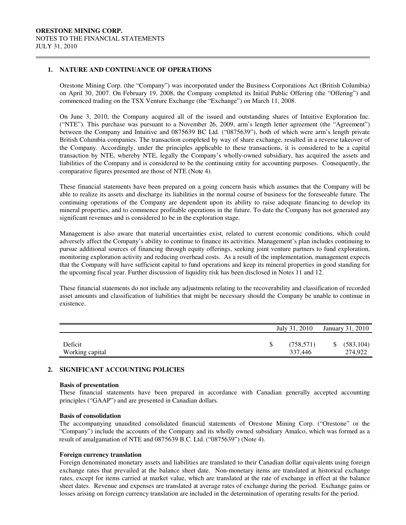$\overline{a}$ 

## **1. NATURE AND CONTINUANCE OF OPERATIONS**

 Orestone Mining Corp. (the "Company") was incorporated under the Business Corporations Act (British Columbia) on April 30, 2007. On February 19, 2008, the Company completed its Initial Public Offering (the "Offering") and commenced trading on the TSX Venture Exchange (the "Exchange") on March 11, 2008.

On June 3, 2010, the Company acquired all of the issued and outstanding shares of Intuitive Exploration Inc. ("NTE"). This purchase was pursuant to a November 26, 2009, arm's length letter agreement (the "Agreement") between the Company and Intuitive and 0875639 BC Ltd. ("0875639"), both of which were arm's length private British Columbia companies. The transaction completed by way of share exchange, resulted in a reverse takeover of the Company. Accordingly, under the principles applicable to these transactions, it is considered to be a capital transaction by NTE, whereby NTE, legally the Company's wholly-owned subsidiary, has acquired the assets and liabilities of the Company and is considered to be the continuing entity for accounting purposes. Consequently, the comparative figures presented are those of NTE (Note 4).

 These financial statements have been prepared on a going concern basis which assumes that the Company will be able to realize its assets and discharge its liabilities in the normal course of business for the foreseeable future. The continuing operations of the Company are dependent upon its ability to raise adequate financing to develop its mineral properties, and to commence profitable operations in the future. To date the Company has not generated any significant revenues and is considered to be in the exploration stage.

 Management is also aware that material uncertainties exist, related to current economic conditions, which could adversely affect the Company's ability to continue to finance its activities. Management's plan includes continuing to pursue additional sources of financing through equity offerings, seeking joint venture partners to fund exploration, monitoring exploration activity and reducing overhead costs. As a result of the implementation, management expects that the Company will have sufficient capital to fund operations and keep its mineral properties in good standing for the upcoming fiscal year. Further discussion of liquidity risk has been disclosed in Notes 11 and 12.

 These financial statements do not include any adjustments relating to the recoverability and classification of recorded asset amounts and classification of liabilities that might be necessary should the Company be unable to continue in existence.

|                            | July 31, 2010         | January 31, 2010      |
|----------------------------|-----------------------|-----------------------|
| Deficit<br>Working capital | (758, 571)<br>337,446 | (583, 104)<br>274,922 |

#### **2. SIGNIFICANT ACCOUNTING POLICIES**

#### **Basis of presentation**

These financial statements have been prepared in accordance with Canadian generally accepted accounting principles ("GAAP") and are presented in Canadian dollars.

#### **Basis of consolidation**

The accompanying unaudited consolidated financial statements of Orestone Mining Corp. ("Orestone" or the "Company") include the accounts of the Company and its wholly owned subsidiary Amalco, which was formed as a result of amalgamation of NTE and 0875639 B.C. Ltd. ("0875639") (Note 4).

#### **Foreign currency translation**

Foreign denominated monetary assets and liabilities are translated to their Canadian dollar equivalents using foreign exchange rates that prevailed at the balance sheet date. Non-monetary items are translated at historical exchange rates, except for items carried at market value, which are translated at the rate of exchange in effect at the balance sheet dates. Revenue and expenses are translated at average rates of exchange during the period. Exchange gains or losses arising on foreign currency translation are included in the determination of operating results for the period.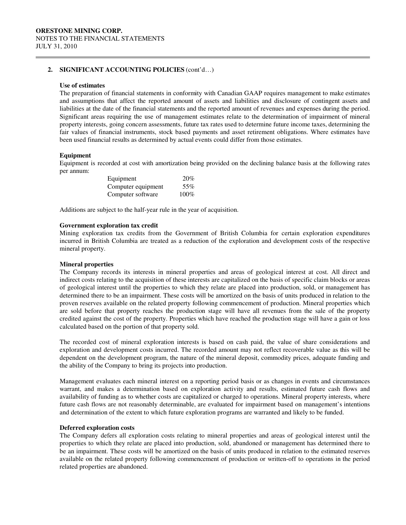## **2. SIGNIFICANT ACCOUNTING POLICIES** (cont'd…)

#### **Use of estimates**

 $\overline{a}$ 

 The preparation of financial statements in conformity with Canadian GAAP requires management to make estimates and assumptions that affect the reported amount of assets and liabilities and disclosure of contingent assets and liabilities at the date of the financial statements and the reported amount of revenues and expenses during the period. Significant areas requiring the use of management estimates relate to the determination of impairment of mineral property interests, going concern assessments, future tax rates used to determine future income taxes, determining the fair values of financial instruments, stock based payments and asset retirement obligations. Where estimates have been used financial results as determined by actual events could differ from those estimates.

#### **Equipment**

Equipment is recorded at cost with amortization being provided on the declining balance basis at the following rates per annum:

| Equipment          | 20%     |
|--------------------|---------|
| Computer equipment | 55%     |
| Computer software  | $100\%$ |

Additions are subject to the half-year rule in the year of acquisition.

#### **Government exploration tax credit**

Mining exploration tax credits from the Government of British Columbia for certain exploration expenditures incurred in British Columbia are treated as a reduction of the exploration and development costs of the respective mineral property.

#### **Mineral properties**

 The Company records its interests in mineral properties and areas of geological interest at cost. All direct and indirect costs relating to the acquisition of these interests are capitalized on the basis of specific claim blocks or areas of geological interest until the properties to which they relate are placed into production, sold, or management has determined there to be an impairment. These costs will be amortized on the basis of units produced in relation to the proven reserves available on the related property following commencement of production. Mineral properties which are sold before that property reaches the production stage will have all revenues from the sale of the property credited against the cost of the property. Properties which have reached the production stage will have a gain or loss calculated based on the portion of that property sold.

 The recorded cost of mineral exploration interests is based on cash paid, the value of share considerations and exploration and development costs incurred. The recorded amount may not reflect recoverable value as this will be dependent on the development program, the nature of the mineral deposit, commodity prices, adequate funding and the ability of the Company to bring its projects into production.

 Management evaluates each mineral interest on a reporting period basis or as changes in events and circumstances warrant, and makes a determination based on exploration activity and results, estimated future cash flows and availability of funding as to whether costs are capitalized or charged to operations. Mineral property interests, where future cash flows are not reasonably determinable, are evaluated for impairment based on management's intentions and determination of the extent to which future exploration programs are warranted and likely to be funded.

#### **Deferred exploration costs**

 The Company defers all exploration costs relating to mineral properties and areas of geological interest until the properties to which they relate are placed into production, sold, abandoned or management has determined there to be an impairment. These costs will be amortized on the basis of units produced in relation to the estimated reserves available on the related property following commencement of production or written-off to operations in the period related properties are abandoned.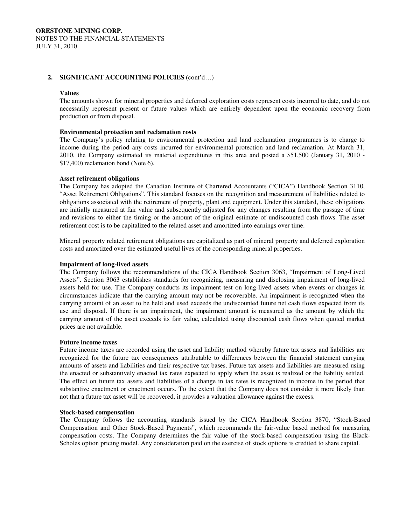#### **2. SIGNIFICANT ACCOUNTING POLICIES** (cont'd…)

#### **Values**

 $\overline{a}$ 

The amounts shown for mineral properties and deferred exploration costs represent costs incurred to date, and do not necessarily represent present or future values which are entirely dependent upon the economic recovery from production or from disposal.

#### **Environmental protection and reclamation costs**

The Company's policy relating to environmental protection and land reclamation programmes is to charge to income during the period any costs incurred for environmental protection and land reclamation. At March 31, 2010, the Company estimated its material expenditures in this area and posted a \$51,500 (January 31, 2010 - \$17,400) reclamation bond (Note 6).

### **Asset retirement obligations**

The Company has adopted the Canadian Institute of Chartered Accountants ("CICA") Handbook Section 3110, "Asset Retirement Obligations"*.* This standard focuses on the recognition and measurement of liabilities related to obligations associated with the retirement of property, plant and equipment. Under this standard, these obligations are initially measured at fair value and subsequently adjusted for any changes resulting from the passage of time and revisions to either the timing or the amount of the original estimate of undiscounted cash flows. The asset retirement cost is to be capitalized to the related asset and amortized into earnings over time.

Mineral property related retirement obligations are capitalized as part of mineral property and deferred exploration costs and amortized over the estimated useful lives of the corresponding mineral properties.

#### **Impairment of long-lived assets**

The Company follows the recommendations of the CICA Handbook Section 3063, "Impairment of Long-Lived Assets". Section 3063 establishes standards for recognizing, measuring and disclosing impairment of long-lived assets held for use. The Company conducts its impairment test on long-lived assets when events or changes in circumstances indicate that the carrying amount may not be recoverable. An impairment is recognized when the carrying amount of an asset to be held and used exceeds the undiscounted future net cash flows expected from its use and disposal. If there is an impairment, the impairment amount is measured as the amount by which the carrying amount of the asset exceeds its fair value, calculated using discounted cash flows when quoted market prices are not available.

#### **Future income taxes**

 Future income taxes are recorded using the asset and liability method whereby future tax assets and liabilities are recognized for the future tax consequences attributable to differences between the financial statement carrying amounts of assets and liabilities and their respective tax bases. Future tax assets and liabilities are measured using the enacted or substantively enacted tax rates expected to apply when the asset is realized or the liability settled. The effect on future tax assets and liabilities of a change in tax rates is recognized in income in the period that substantive enactment or enactment occurs. To the extent that the Company does not consider it more likely than not that a future tax asset will be recovered, it provides a valuation allowance against the excess.

#### **Stock-based compensation**

 The Company follows the accounting standards issued by the CICA Handbook Section 3870, "Stock-Based Compensation and Other Stock-Based Payments", which recommends the fair-value based method for measuring compensation costs. The Company determines the fair value of the stock-based compensation using the Black-Scholes option pricing model. Any consideration paid on the exercise of stock options is credited to share capital.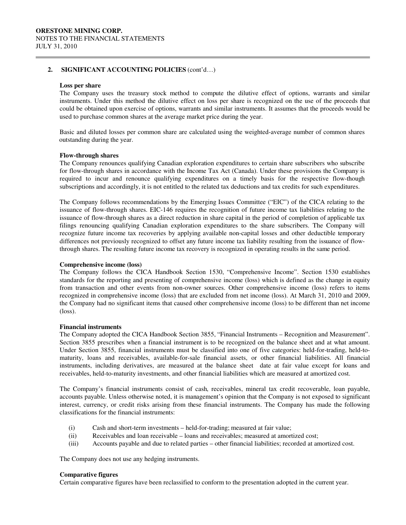### **2. SIGNIFICANT ACCOUNTING POLICIES** (cont'd…)

#### **Loss per share**

 $\overline{a}$ 

 The Company uses the treasury stock method to compute the dilutive effect of options, warrants and similar instruments. Under this method the dilutive effect on loss per share is recognized on the use of the proceeds that could be obtained upon exercise of options, warrants and similar instruments. It assumes that the proceeds would be used to purchase common shares at the average market price during the year.

 Basic and diluted losses per common share are calculated using the weighted-average number of common shares outstanding during the year.

#### **Flow-through shares**

 The Company renounces qualifying Canadian exploration expenditures to certain share subscribers who subscribe for flow-through shares in accordance with the Income Tax Act (Canada). Under these provisions the Company is required to incur and renounce qualifying expenditures on a timely basis for the respective flow-though subscriptions and accordingly, it is not entitled to the related tax deductions and tax credits for such expenditures.

The Company follows recommendations by the Emerging Issues Committee ("EIC") of the CICA relating to the issuance of flow-through shares. EIC-146 requires the recognition of future income tax liabilities relating to the issuance of flow-through shares as a direct reduction in share capital in the period of completion of applicable tax filings renouncing qualifying Canadian exploration expenditures to the share subscribers. The Company will recognize future income tax recoveries by applying available non-capital losses and other deductible temporary differences not previously recognized to offset any future income tax liability resulting from the issuance of flowthrough shares. The resulting future income tax recovery is recognized in operating results in the same period.

#### **Comprehensive income (loss)**

The Company follows the CICA Handbook Section 1530, "Comprehensive Income". Section 1530 establishes standards for the reporting and presenting of comprehensive income (loss) which is defined as the change in equity from transaction and other events from non-owner sources. Other comprehensive income (loss) refers to items recognized in comprehensive income (loss) that are excluded from net income (loss). At March 31, 2010 and 2009, the Company had no significant items that caused other comprehensive income (loss) to be different than net income (loss).

#### **Financial instruments**

The Company adopted the CICA Handbook Section 3855, "Financial Instruments – Recognition and Measurement". Section 3855 prescribes when a financial instrument is to be recognized on the balance sheet and at what amount. Under Section 3855, financial instruments must be classified into one of five categories: held-for-trading, held-tomaturity, loans and receivables, available-for-sale financial assets, or other financial liabilities. All financial instruments, including derivatives, are measured at the balance sheet date at fair value except for loans and receivables, held-to-maturity investments, and other financial liabilities which are measured at amortized cost.

The Company's financial instruments consist of cash, receivables, mineral tax credit recoverable, loan payable, accounts payable. Unless otherwise noted, it is management's opinion that the Company is not exposed to significant interest, currency, or credit risks arising from these financial instruments. The Company has made the following classifications for the financial instruments:

- (i) Cash and short-term investments held-for-trading; measured at fair value;
- (ii) Receivables and loan receivable loans and receivables; measured at amortized cost;
- (iii) Accounts payable and due to related parties other financial liabilities; recorded at amortized cost.

The Company does not use any hedging instruments.

#### **Comparative figures**

Certain comparative figures have been reclassified to conform to the presentation adopted in the current year.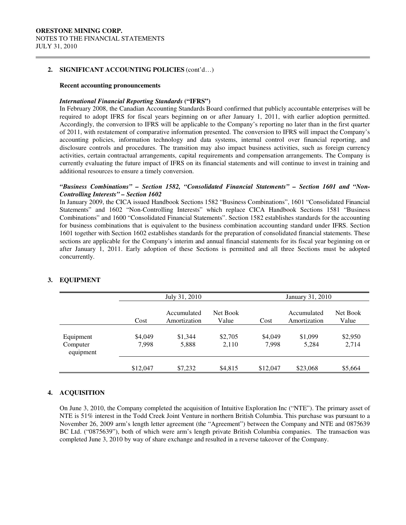$\overline{a}$ 

#### **2. SIGNIFICANT ACCOUNTING POLICIES** (cont'd…)

#### **Recent accounting pronouncements**

#### *International Financial Reporting Standards* **("IFRS")**

In February 2008, the Canadian Accounting Standards Board confirmed that publicly accountable enterprises will be required to adopt IFRS for fiscal years beginning on or after January 1, 2011, with earlier adoption permitted. Accordingly, the conversion to IFRS will be applicable to the Company's reporting no later than in the first quarter of 2011, with restatement of comparative information presented. The conversion to IFRS will impact the Company's accounting policies, information technology and data systems, internal control over financial reporting, and disclosure controls and procedures. The transition may also impact business activities, such as foreign currency activities, certain contractual arrangements, capital requirements and compensation arrangements. The Company is currently evaluating the future impact of IFRS on its financial statements and will continue to invest in training and additional resources to ensure a timely conversion.

## *"Business Combinations" – Section 1582, "Consolidated Financial Statements" – Section 1601 and "Non-Controlling Interests" – Section 1602*

In January 2009, the CICA issued Handbook Sections 1582 "Business Combinations", 1601 "Consolidated Financial Statements" and 1602 "Non-Controlling Interests" which replace CICA Handbook Sections 1581 "Business Combinations" and 1600 "Consolidated Financial Statements". Section 1582 establishes standards for the accounting for business combinations that is equivalent to the business combination accounting standard under IFRS. Section 1601 together with Section 1602 establishes standards for the preparation of consolidated financial statements. These sections are applicable for the Company's interim and annual financial statements for its fiscal year beginning on or after January 1, 2011. Early adoption of these Sections is permitted and all three Sections must be adopted concurrently.

|                                    |                  | July 31, 2010               |                   |                  | January 31, 2010            |                   |  |
|------------------------------------|------------------|-----------------------------|-------------------|------------------|-----------------------------|-------------------|--|
|                                    | Cost             | Accumulated<br>Amortization | Net Book<br>Value | Cost             | Accumulated<br>Amortization | Net Book<br>Value |  |
| Equipment<br>Computer<br>equipment | \$4,049<br>7,998 | \$1,344<br>5,888            | \$2,705<br>2.110  | \$4,049<br>7,998 | \$1,099<br>5,284            | \$2,950<br>2,714  |  |
|                                    | \$12,047         | \$7,232                     | \$4,815           | \$12,047         | \$23,068                    | \$5,664           |  |

## **3. EQUIPMENT**

## **4. ACQUISITION**

On June 3, 2010, the Company completed the acquisition of Intuitive Exploration Inc ("NTE"). The primary asset of NTE is 51% interest in the Todd Creek Joint Venture in northern British Columbia. This purchase was pursuant to a November 26, 2009 arm's length letter agreement (the "Agreement") between the Company and NTE and 0875639 BC Ltd. ("0875639"), both of which were arm's length private British Columbia companies. The transaction was completed June 3, 2010 by way of share exchange and resulted in a reverse takeover of the Company.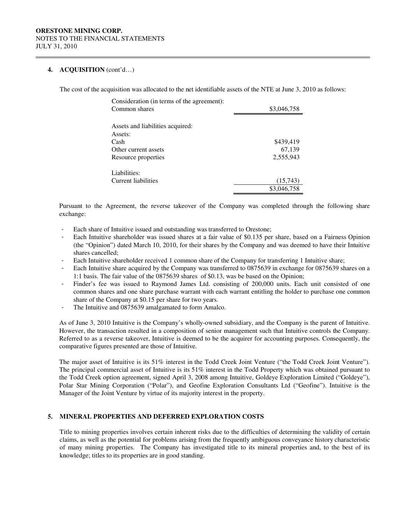### **4. ACQUISITION** (cont'd…)

 $\overline{a}$ 

The cost of the acquisition was allocated to the net identifiable assets of the NTE at June 3, 2010 as follows:

| \$3,046,758 |
|-------------|
|             |
|             |
|             |
| \$439,419   |
| 67,139      |
| 2,555,943   |
|             |
|             |
| (15,743)    |
| \$3,046,758 |
|             |

Pursuant to the Agreement, the reverse takeover of the Company was completed through the following share exchange:

- Each share of Intuitive issued and outstanding was transferred to Orestone;
- Each Intuitive shareholder was issued shares at a fair value of \$0.135 per share, based on a Fairness Opinion (the "Opinion") dated March 10, 2010, for their shares by the Company and was deemed to have their Intuitive shares cancelled;
- Each Intuitive shareholder received 1 common share of the Company for transferring 1 Intuitive share;
- Each Intuitive share acquired by the Company was transferred to 0875639 in exchange for 0875639 shares on a 1:1 basis. The fair value of the 0875639 shares of \$0.13, was be based on the Opinion;
- Finder's fee was issued to Raymond James Ltd. consisting of 200,000 units. Each unit consisted of one common shares and one share purchase warrant with each warrant entitling the holder to purchase one common share of the Company at \$0.15 per share for two years.
- The Intuitive and 0875639 amalgamated to form Amalco.

As of June 3, 2010 Intuitive is the Company's wholly-owned subsidiary, and the Company is the parent of Intuitive. However, the transaction resulted in a composition of senior management such that Intuitive controls the Company. Referred to as a reverse takeover, Intuitive is deemed to be the acquirer for accounting purposes. Consequently, the comparative figures presented are those of Intuitive.

The major asset of Intuitive is its 51% interest in the Todd Creek Joint Venture ("the Todd Creek Joint Venture"). The principal commercial asset of Intuitive is its 51% interest in the Todd Property which was obtained pursuant to the Todd Creek option agreement, signed April 3, 2008 among Intuitive, Goldeye Exploration Limited ("Goldeye"), Polar Star Mining Corporation ("Polar"), and Geofine Exploration Consultants Ltd ("Geofine"). Intuitive is the Manager of the Joint Venture by virtue of its majority interest in the property.

#### **5. MINERAL PROPERTIES AND DEFERRED EXPLORATION COSTS**

Title to mining properties involves certain inherent risks due to the difficulties of determining the validity of certain claims, as well as the potential for problems arising from the frequently ambiguous conveyance history characteristic of many mining properties. The Company has investigated title to its mineral properties and, to the best of its knowledge; titles to its properties are in good standing.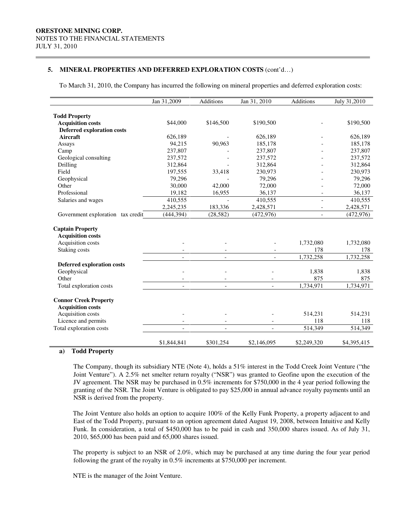$\overline{a}$ 

#### **5. MINERAL PROPERTIES AND DEFERRED EXPLORATION COSTS** (cont'd…)

To March 31, 2010, the Company has incurred the following on mineral properties and deferred exploration costs:

|                                   | Jan 31,2009              | <b>Additions</b>         | Jan 31, 2010                               | Additions                | July 31,2010 |
|-----------------------------------|--------------------------|--------------------------|--------------------------------------------|--------------------------|--------------|
|                                   |                          |                          |                                            |                          |              |
| <b>Todd Property</b>              |                          |                          |                                            |                          |              |
| <b>Acquisition costs</b>          | \$44,000                 | \$146,500                | \$190,500                                  |                          | \$190,500    |
| <b>Deferred exploration costs</b> |                          |                          |                                            |                          |              |
| Aircraft                          | 626,189                  |                          | 626,189                                    |                          | 626,189      |
| Assays                            | 94,215                   | 90,963                   | 185,178                                    |                          | 185,178      |
| Camp                              | 237,807                  |                          | 237,807                                    |                          | 237,807      |
| Geological consulting             | 237,572                  |                          | 237,572                                    |                          | 237,572      |
| Drilling                          | 312,864                  |                          | 312,864                                    |                          | 312,864      |
| Field                             | 197,555                  | 33,418                   | 230,973                                    |                          | 230,973      |
| Geophysical                       | 79,296                   |                          | 79,296                                     |                          | 79,296       |
| Other                             | 30,000                   | 42,000                   | 72,000                                     |                          | 72,000       |
| Professional                      | 19,182                   | 16,955                   | 36,137                                     |                          | 36,137       |
| Salaries and wages                | 410,555                  |                          | 410,555                                    | $\overline{\phantom{a}}$ | 410,555      |
|                                   | 2,245,235                | 183,336                  | 2,428,571                                  | $\overline{\phantom{a}}$ | 2,428,571    |
| Government exploration tax credit | (444, 394)               | (28, 582)                | (472, 976)                                 | $\overline{\phantom{a}}$ | (472, 976)   |
|                                   |                          |                          |                                            |                          |              |
| <b>Captain Property</b>           |                          |                          |                                            |                          |              |
| <b>Acquisition costs</b>          |                          |                          |                                            |                          |              |
| Acquisition costs                 |                          |                          |                                            | 1,732,080                | 1,732,080    |
| Staking costs                     |                          |                          |                                            | 178                      | 178          |
|                                   | $\overline{\phantom{a}}$ | $\overline{\phantom{a}}$ |                                            | 1,732,258                | 1,732,258    |
| <b>Deferred exploration costs</b> |                          |                          |                                            |                          |              |
| Geophysical                       |                          | L,                       |                                            | 1,838                    | 1,838        |
| Other                             |                          |                          |                                            | 875                      | 875          |
| Total exploration costs           |                          | $\overline{\phantom{a}}$ |                                            | 1,734,971                | 1,734,971    |
| <b>Connor Creek Property</b>      |                          |                          |                                            |                          |              |
| <b>Acquisition costs</b>          |                          |                          |                                            |                          |              |
| Acquisition costs                 |                          |                          |                                            | 514,231                  | 514,231      |
| Licence and permits               |                          |                          |                                            | 118                      | 118          |
|                                   | $\overline{\phantom{a}}$ | $\overline{\phantom{a}}$ | $\overline{\phantom{a}}$<br>$\overline{a}$ | 514,349                  |              |
| Total exploration costs           | $\overline{a}$           | $\bar{\phantom{a}}$      |                                            |                          | 514,349      |
|                                   | \$1,844,841              | \$301.254                | \$2,146,095                                | \$2,249,320              | \$4,395,415  |

#### **a) Todd Property**

 The Company, though its subsidiary NTE (Note 4), holds a 51% interest in the Todd Creek Joint Venture ("the Joint Venture"). A 2.5% net smelter return royalty ("NSR") was granted to Geofine upon the execution of the JV agreement. The NSR may be purchased in 0.5% increments for \$750,000 in the 4 year period following the granting of the NSR. The Joint Venture is obligated to pay \$25,000 in annual advance royalty payments until an NSR is derived from the property.

The Joint Venture also holds an option to acquire 100% of the Kelly Funk Property, a property adjacent to and East of the Todd Property, pursuant to an option agreement dated August 19, 2008, between Intuitive and Kelly Funk. In consideration, a total of \$450,000 has to be paid in cash and 350,000 shares issued. As of July 31, 2010, \$65,000 has been paid and 65,000 shares issued.

The property is subject to an NSR of 2.0%, which may be purchased at any time during the four year period following the grant of the royalty in 0.5% increments at \$750,000 per increment.

NTE is the manager of the Joint Venture.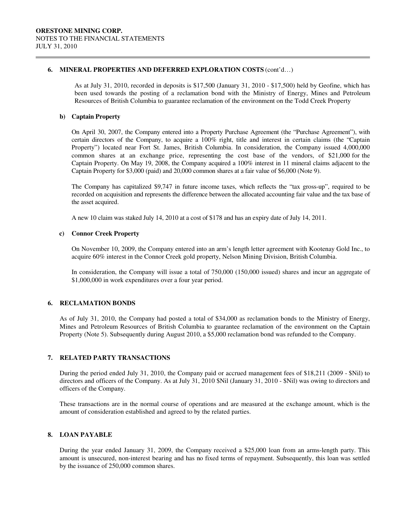#### **6. MINERAL PROPERTIES AND DEFERRED EXPLORATION COSTS** (cont'd…)

As at July 31, 2010, recorded in deposits is \$17,500 (January 31, 2010 - \$17,500) held by Geofine, which has been used towards the posting of a reclamation bond with the Ministry of Energy, Mines and Petroleum Resources of British Columbia to guarantee reclamation of the environment on the Todd Creek Property

#### **b) Captain Property**

 $\overline{a}$ 

On April 30, 2007, the Company entered into a Property Purchase Agreement (the "Purchase Agreement"), with certain directors of the Company, to acquire a 100% right, title and interest in certain claims (the "Captain Property") located near Fort St. James, British Columbia. In consideration, the Company issued 4,000,000 common shares at an exchange price, representing the cost base of the vendors, of \$21,000 for the Captain Property. On May 19, 2008, the Company acquired a 100% interest in 11 mineral claims adjacent to the Captain Property for \$3,000 (paid) and 20,000 common shares at a fair value of \$6,000 (Note 9).

The Company has capitalized \$9,747 in future income taxes, which reflects the "tax gross-up", required to be recorded on acquisition and represents the difference between the allocated accounting fair value and the tax base of the asset acquired.

A new 10 claim was staked July 14, 2010 at a cost of \$178 and has an expiry date of July 14, 2011.

#### **c) Connor Creek Property**

On November 10, 2009, the Company entered into an arm's length letter agreement with Kootenay Gold Inc., to acquire 60% interest in the Connor Creek gold property, Nelson Mining Division, British Columbia.

In consideration, the Company will issue a total of 750,000 (150,000 issued) shares and incur an aggregate of \$1,000,000 in work expenditures over a four year period.

### **6. RECLAMATION BONDS**

As of July 31, 2010, the Company had posted a total of \$34,000 as reclamation bonds to the Ministry of Energy, Mines and Petroleum Resources of British Columbia to guarantee reclamation of the environment on the Captain Property (Note 5). Subsequently during August 2010, a \$5,000 reclamation bond was refunded to the Company.

## **7. RELATED PARTY TRANSACTIONS**

During the period ended July 31, 2010, the Company paid or accrued management fees of \$18,211 (2009 - \$Nil) to directors and officers of the Company. As at July 31, 2010 \$Nil (January 31, 2010 - \$Nil) was owing to directors and officers of the Company.

These transactions are in the normal course of operations and are measured at the exchange amount, which is the amount of consideration established and agreed to by the related parties.

### **8. LOAN PAYABLE**

During the year ended January 31, 2009, the Company received a \$25,000 loan from an arms-length party. This amount is unsecured, non-interest bearing and has no fixed terms of repayment. Subsequently, this loan was settled by the issuance of 250,000 common shares.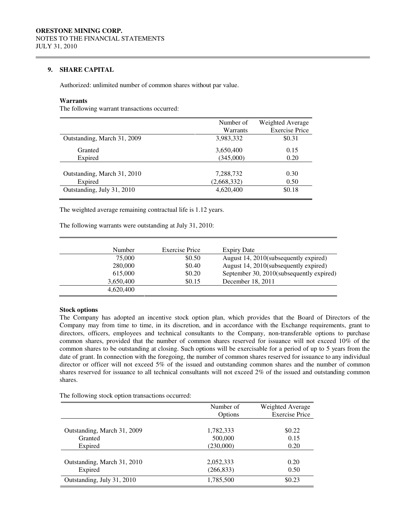## **9. SHARE CAPITAL**

Authorized: unlimited number of common shares without par value.

#### **Warrants**

 $\overline{a}$ 

The following warrant transactions occurred:

|                             | Number of   | Weighted Average      |
|-----------------------------|-------------|-----------------------|
|                             | Warrants    | <b>Exercise Price</b> |
| Outstanding, March 31, 2009 | 3,983,332   | \$0.31                |
| Granted                     | 3,650,400   | 0.15                  |
| Expired                     | (345,000)   | 0.20                  |
|                             |             |                       |
| Outstanding, March 31, 2010 | 7,288,732   | 0.30                  |
| Expired                     | (2,668,332) | 0.50                  |
| Outstanding, July 31, 2010  | 4,620,400   | \$0.18                |
|                             |             |                       |

The weighted average remaining contractual life is 1.12 years.

The following warrants were outstanding at July 31, 2010:

| Number    | Exercise Price |        | <b>Expiry Date</b>                       |
|-----------|----------------|--------|------------------------------------------|
|           | 75,000         | \$0.50 | August 14, 2010(subsequently expired)    |
| 280,000   |                | \$0.40 | August 14, 2010(subsequently expired)    |
| 615,000   |                | \$0.20 | September 30, 2010(subsequently expired) |
| 3,650,400 |                | \$0.15 | December 18, 2011                        |
| 4,620,400 |                |        |                                          |
|           |                |        |                                          |

## **Stock options**

The Company has adopted an incentive stock option plan, which provides that the Board of Directors of the Company may from time to time, in its discretion, and in accordance with the Exchange requirements, grant to directors, officers, employees and technical consultants to the Company, non-transferable options to purchase common shares, provided that the number of common shares reserved for issuance will not exceed 10% of the common shares to be outstanding at closing. Such options will be exercisable for a period of up to 5 years from the date of grant. In connection with the foregoing, the number of common shares reserved for issuance to any individual director or officer will not exceed 5% of the issued and outstanding common shares and the number of common shares reserved for issuance to all technical consultants will not exceed 2% of the issued and outstanding common shares.

The following stock option transactions occurred:

|                             | Number of<br>Options | Weighted Average<br><b>Exercise Price</b> |
|-----------------------------|----------------------|-------------------------------------------|
| Outstanding, March 31, 2009 | 1,782,333            | \$0.22                                    |
| Granted                     | 500,000              | 0.15                                      |
| Expired                     | (230,000)            | 0.20                                      |
| Outstanding, March 31, 2010 | 2,052,333            | 0.20                                      |
| Expired                     | (266, 833)           | 0.50                                      |
| Outstanding, July 31, 2010  | 1,785,500            | \$0.23                                    |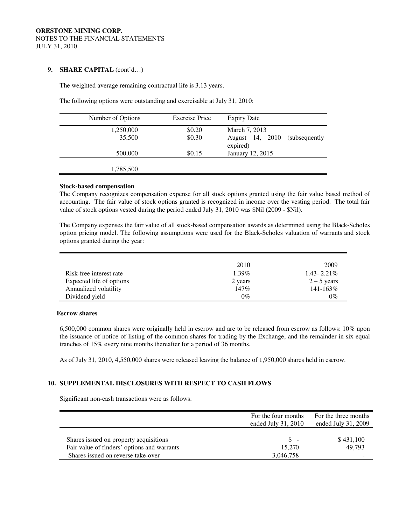#### **9. SHARE CAPITAL** (cont'd…)

 $\overline{a}$ 

The weighted average remaining contractual life is 3.13 years.

The following options were outstanding and exercisable at July 31, 2010:

| Number of Options | <b>Exercise Price</b> | <b>Expiry Date</b>                            |
|-------------------|-----------------------|-----------------------------------------------|
| 1,250,000         | \$0.20                | March 7, 2013                                 |
| 35,500            | \$0.30                | August 14, 2010<br>(subsequently)<br>expired) |
| 500,000           | \$0.15                | January 12, 2015                              |
| 1,785,500         |                       |                                               |

#### **Stock-based compensation**

The Company recognizes compensation expense for all stock options granted using the fair value based method of accounting. The fair value of stock options granted is recognized in income over the vesting period. The total fair value of stock options vested during the period ended July 31, 2010 was \$Nil (2009 - \$Nil).

The Company expenses the fair value of all stock-based compensation awards as determined using the Black-Scholes option pricing model. The following assumptions were used for the Black-Scholes valuation of warrants and stock options granted during the year:

|                          | 2010     | 2009            |
|--------------------------|----------|-----------------|
| Risk-free interest rate  | $1.39\%$ | $1.43 - 2.21\%$ |
| Expected life of options | 2 years  | $2 - 5$ years   |
| Annualized volatility    | 147%     | $141 - 163\%$   |
| Dividend yield           | $0\%$    | $0\%$           |

### **Escrow shares**

 6,500,000 common shares were originally held in escrow and are to be released from escrow as follows: 10% upon the issuance of notice of listing of the common shares for trading by the Exchange, and the remainder in six equal tranches of 15% every nine months thereafter for a period of 36 months.

As of July 31, 2010, 4,550,000 shares were released leaving the balance of 1,950,000 shares held in escrow.

## **10. SUPPLEMENTAL DISCLOSURES WITH RESPECT TO CASH FLOWS**

Significant non-cash transactions were as follows:

|                                             | For the four months<br>ended July $31, 2010$ | For the three months<br>ended July 31, 2009 |
|---------------------------------------------|----------------------------------------------|---------------------------------------------|
| Shares issued on property acquisitions      | $S =$                                        | \$431,100                                   |
| Fair value of finders' options and warrants | 15,270                                       | 49.793                                      |
| Shares issued on reverse take-over          | 3,046,758                                    | $\overline{\phantom{0}}$                    |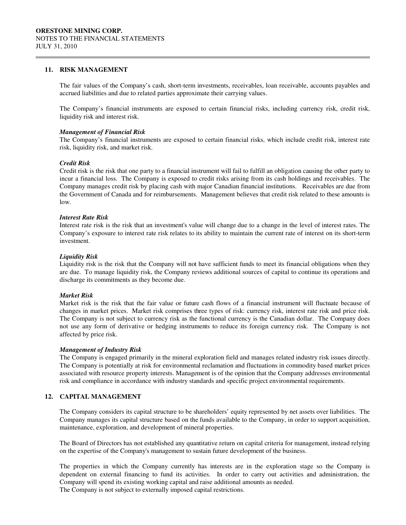#### **11. RISK MANAGEMENT**

 $\overline{a}$ 

The fair values of the Company's cash, short-term investments, receivables, loan receivable, accounts payables and accrued liabilities and due to related parties approximate their carrying values.

The Company's financial instruments are exposed to certain financial risks, including currency risk, credit risk, liquidity risk and interest risk.

#### *Management of Financial Risk*

The Company's financial instruments are exposed to certain financial risks, which include credit risk, interest rate risk, liquidity risk, and market risk.

#### *Credit Risk*

Credit risk is the risk that one party to a financial instrument will fail to fulfill an obligation causing the other party to incur a financial loss. The Company is exposed to credit risks arising from its cash holdings and receivables. The Company manages credit risk by placing cash with major Canadian financial institutions. Receivables are due from the Government of Canada and for reimbursements. Management believes that credit risk related to these amounts is low.

#### *Interest Rate Risk*

Interest rate risk is the risk that an investment's value will change due to a change in the level of interest rates. The Company's exposure to interest rate risk relates to its ability to maintain the current rate of interest on its short-term investment.

#### *Liquidity Risk*

Liquidity risk is the risk that the Company will not have sufficient funds to meet its financial obligations when they are due. To manage liquidity risk, the Company reviews additional sources of capital to continue its operations and discharge its commitments as they become due.

#### *Market Risk*

Market risk is the risk that the fair value or future cash flows of a financial instrument will fluctuate because of changes in market prices. Market risk comprises three types of risk: currency risk, interest rate risk and price risk. The Company is not subject to currency risk as the functional currency is the Canadian dollar. The Company does not use any form of derivative or hedging instruments to reduce its foreign currency risk. The Company is not affected by price risk.

#### *Management of Industry Risk*

The Company is engaged primarily in the mineral exploration field and manages related industry risk issues directly. The Company is potentially at risk for environmental reclamation and fluctuations in commodity based market prices associated with resource property interests. Management is of the opinion that the Company addresses environmental risk and compliance in accordance with industry standards and specific project environmental requirements.

#### **12. CAPITAL MANAGEMENT**

The Company considers its capital structure to be shareholders' equity represented by net assets over liabilities. The Company manages its capital structure based on the funds available to the Company, in order to support acquisition, maintenance, exploration, and development of mineral properties.

The Board of Directors has not established any quantitative return on capital criteria for management, instead relying on the expertise of the Company's management to sustain future development of the business.

The properties in which the Company currently has interests are in the exploration stage so the Company is dependent on external financing to fund its activities. In order to carry out activities and administration, the Company will spend its existing working capital and raise additional amounts as needed. The Company is not subject to externally imposed capital restrictions.